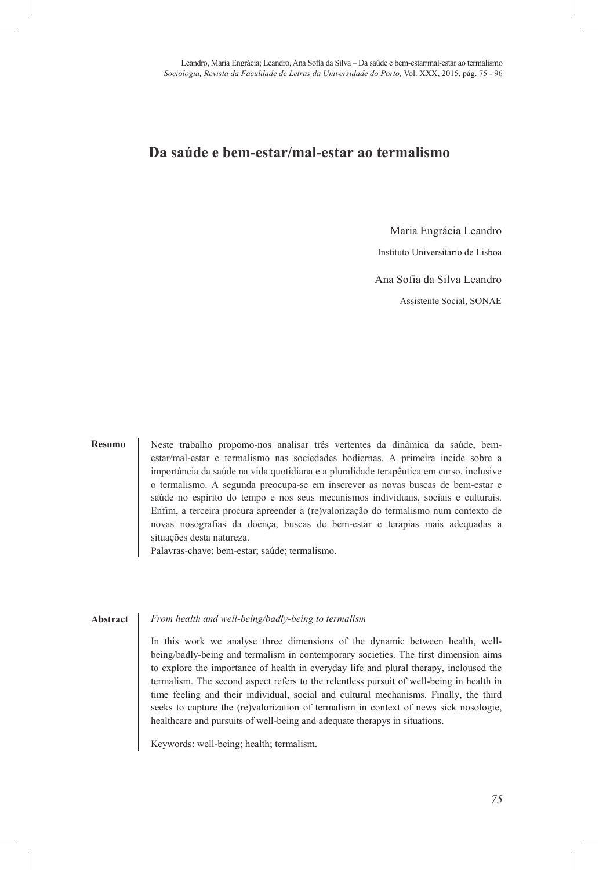## **Da saúde e bem-estar/mal-estar ao termalismo O ensino público no olhar das elites escolares:**

Maria Engrácia Leandro

Instituto Universitário de Lisboa

Ana Sofia da Silva Leandro

Assistente Social, SONAE  $\Delta$ ssistente gocial<sub>is</sub> gotivales y Humanidades estudios, Facultad de Ciencias sociales y Humanidades estudios estudios estudios en la contrada de Ciencias de Ciencias en la contrada en la contrada de Ciencias y Humanida Assistente Social, SONAE

#### **Resumo**

Neste trabalho propomo-nos analisar três vertentes da dinâmica da saúde, bemestar/mal-estar e termalismo nas sociedades hodiernas. A primeira incide sobre a importância da saúde na vida quotidiana e a pluralidade terapêutica em curso, inclusive o termalismo. A segunda preocupa-se em inscrever as novas buscas de bem-estar e estar/mal-estar e termalismo nas sociedades hodiernas. A primeira incide sobre a<br>importância da saúde na vida quotidiana e a pluralidade terapêutica em curso, inclusive<br>o termalismo. A segunda preocupa-se em inscrever as n Enfim, a terceira procura apreender a (re)valorização do termalismo num contexto de Enfim, a terceira procura apreender a (re)valorização do termalismo num contexto de novas nosografias da doença, buscas de bem-estar e terapias mais adequadas a situações desta natureza. o termalismo. A segunda preocupa-se em inscrever as novas buscas de bem-estar e saúde no espírito do tempo e nos seus mecanismos individuais, sociais e culturais.<br>Enfim, a terceira procura apreender a (re)valorização do te saude no espirito do tempo e nos seus mecanismos individuais, sociais e culturais.

Palavras-chave: bem-estar; saúde; termalismo.

#### From health and well-being/badly-being to termalism *The public school through the eyes of school elites: social representations of the*  **Abstract**

In this work we analyse three dimensions of the dynamic between health, wellbeing/badly-being and termalism in contemporary societies. The first dimension aims to explore the importance of health in everyday life and plural therapy, incloused the termalism. The second aspect refers to the relentless pursuit of well-being in health in time feeling and their individual, social and cultural mechanisms. Finally, the third seeks to capture the (re)valorization of termalism in context of news sick nosologie, healthcare and pursuits of well-being and adequate therapys in situations. institutional identity, of  $\mathcal{L}$  rigorithm family  $\mathcal{L}$ being/badly-being and termalism in contemporary societies. The first dimension aims<br>to explore the importance of health in everyday life and plural therapy, incloused the<br>termalism. The second aspect refers to the relentle termalism. The second aspect refers to the relentless pursuit of well-being in health in<br>time feeling and their individual, social and cultural mechanisms. Finally, the third<br>seeks to capture the (re)valorization of termal

desvalorizante, em contraposição com o ensino privado. Ausência de enquadramento

Keywords: well-being; health; termalism.  $\mathcal{L}_{\mathcal{D}}$ Keywords: well-being; health; termalism.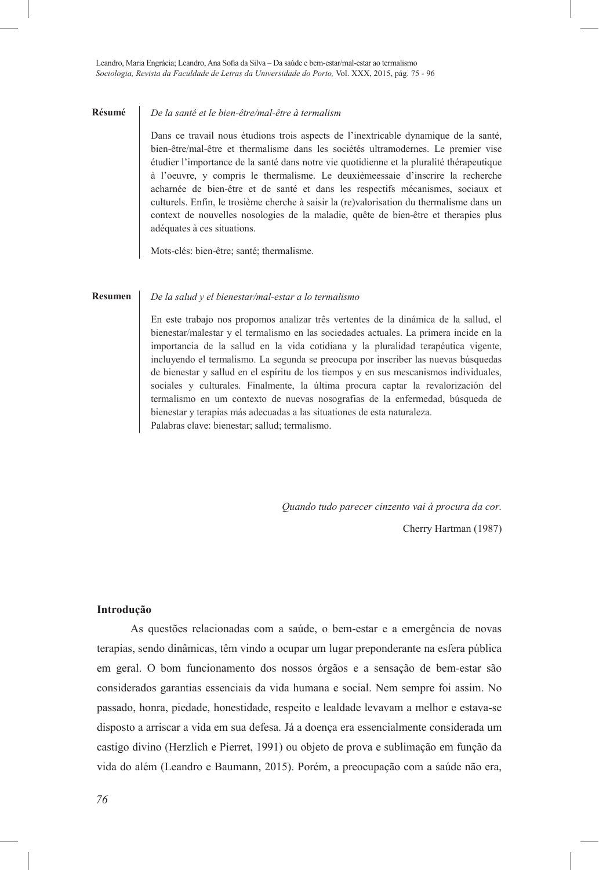#### De la santé et le bien-être/mal-être à termalism **Résumé Résumé**

Dans ce travail nous étudions trois aspects de l'inextricable dynamique de la santé, bien-être/mal-être et thermalisme dans les sociétés ultramodernes. Le premier vise étudier l'importance de la santé dans notre vie quotidienne et la pluralité thérapeutique à l'oeuvre, y compris le thermalisme. Le deuxièmeessaie d'inscrire la recherche acharnée de bien-être et de santé et dans les respectifs mécanismes, sociaux et culturels. Enfin, le trosième cherche à saisir la (re)valorisation du thermalisme dans un context de nouvelles nosologies de la maladie, quête de bien-être et therapies plus adéquates à ces situations. bien-être/mal-être et thermalisme dans les sociétés ultramodernes. Le premier vise<br>étudier l'importance de la santé dans notre vie quotidienne et la pluralité thérapeutique<br>à l'oeuvre, y compris le thermalisme. Le deuxième a l'ocuvie, y compris le memiansine. Le deuxièmessaie d'inscrire la récherche

Mots-clés: bien-être; santé; thermalisme.

#### De la salud y el bienestar/mal-estar a lo termalismo *los agentes educativos de dos colegios particulares*  **Resumen Resumen**

En este trabajo nos propomos analizar três vertentes de la dinámica de la sallud, el bienestar/malestar y el termalismo en las sociedades actuales. La primera incide en la importancia de la sallud en la vida cotidiana y la pluralidad terapéutica vigente, incluyendo el termalismo. La segunda se preocupa por inscriber las nuevas búsquedas de bienestar y sallud en el espíritu de los tiempos y en sus mescanismos individuales, sociales y culturales. Finalmente, la última procura captar la revalorización del termalismo en um contexto de nuevas nosografías de la enfermedad, búsqueda de bienestar y terapias más adecuadas a las situationes de esta naturaleza. Palabras clave: bienestar; sallud; termalismo. bienestar/malestar y el termalismo en las sociedades actuales. La primera incide en la<br>importancia de la sallud en la vida cotidiana y la pluralidad terapéutica vigente,<br>incluyendo el termalismo. La segunda se preocupa por

*Quando tudo parecer cinzento vai à procura da cor.*

Cherry Hartman (1987)

#### **Introdução**  $m_{\rm{rad}}$

As questões relacionadas com a saúde, o bem-estar e a emergência de novas terapias, sendo dinâmicas, têm vindo a ocupar um lugar preponderante na esfera pública em geral. O bom funcionamento dos nossos órgãos e a sensação de bem-estar são considerados garantias essenciais da vida humana e social. Nem sempre foi assim. No passado, honra, piedade, honestidade, respeito e lealdade levavam a melhor e estava-se disposto a arriscar a vida em sua defesa. Já a doença era essencialmente considerada um castigo divino (Herzlich e Pierret, 1991) ou objeto de prova e sublimação em função da vida do além (Leandro e Baumann, 2015). Porém, a preocupação com a saúde não era,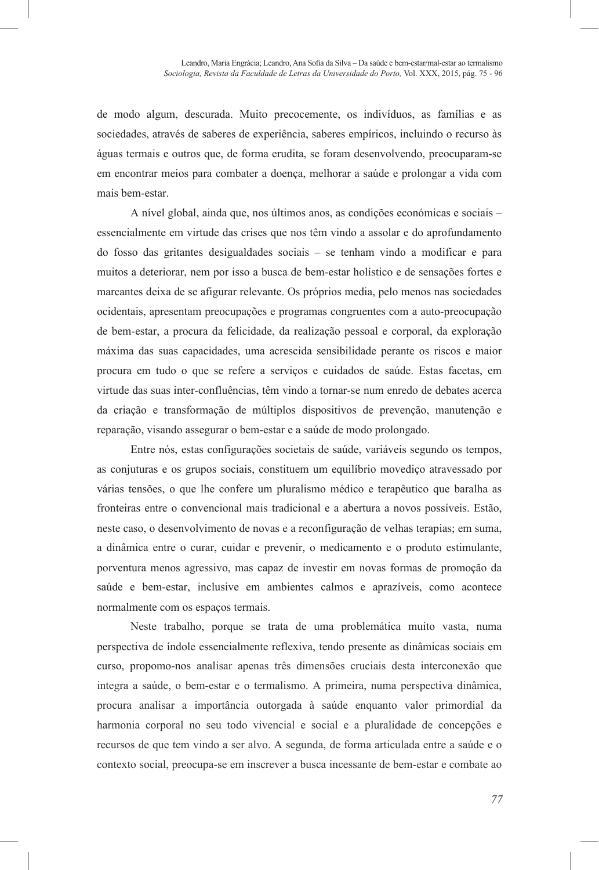de modo algum, descurada. Muito precocemente, os indivíduos, as famílias e as sociedades, através de saberes de experiência, saberes empíricos, incluindo o recurso às águas termais e outros que, de forma erudita, se foram desenvolvendo, preocuparam-se em encontrar meios para combater a doença, melhorar a saúde e prolongar a vida com mais bem-estar.

A nível global, ainda que, nos últimos anos, as condições económicas e sociais – essencialmente em virtude das crises que nos têm vindo a assolar e do aprofundamento do fosso das gritantes desigualdades sociais – se tenham vindo a modificar e para muitos a deteriorar, nem por isso a busca de bem-estar holístico e de sensações fortes e marcantes deixa de se afigurar relevante. Os próprios media, pelo menos nas sociedades ocidentais, apresentam preocupações e programas congruentes com a auto-preocupação de bem-estar, a procura da felicidade, da realização pessoal e corporal, da exploração máxima das suas capacidades, uma acrescida sensibilidade perante os riscos e maior procura em tudo o que se refere a serviços e cuidados de saúde. Estas facetas, em virtude das suas inter-confluências, têm vindo a tornar-se num enredo de debates acerca da criação e transformação de múltiplos dispositivos de prevenção, manutenção e reparação, visando assegurar o bem-estar e a saúde de modo prolongado.

Entre nós, estas configurações societais de saúde, variáveis segundo os tempos, as conjuturas e os grupos sociais, constituem um equilíbrio movediço atravessado por várias tensões, o que lhe confere um pluralismo médico e terapêutico que baralha as fronteiras entre o convencional mais tradicional e a abertura a novos possíveis. Estão, neste caso, o desenvolvimento de novas e a reconfiguração de velhas terapias; em suma, a dinâmica entre o curar, cuidar e prevenir, o medicamento e o produto estimulante, porventura menos agressivo, mas capaz de investir em novas formas de promoção da saúde e bem-estar, inclusive em ambientes calmos e aprazíveis, como acontece normalmente com os espaços termais.

Neste trabalho, porque se trata de uma problemática muito vasta, numa perspectiva de índole essencialmente reflexiva, tendo presente as dinâmicas sociais em curso, propomo-nos analisar apenas três dimensões cruciais desta interconexão que integra a saúde, o bem-estar e o termalismo. A primeira, numa perspectiva dinâmica, procura analisar a importância outorgada à saúde enquanto valor primordial da harmonia corporal no seu todo vivencial e social e a pluralidade de concepções e recursos de que tem vindo a ser alvo. A segunda, de forma articulada entre a saúde e o contexto social, preocupa-se em inscrever a busca incessante de bem-estar e combate ao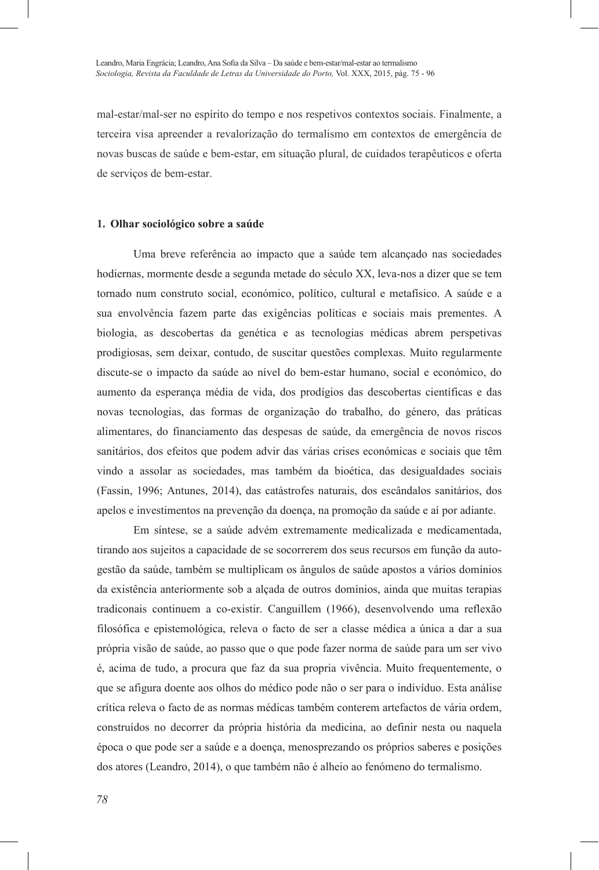mal-estar/mal-ser no espírito do tempo e nos respetivos contextos sociais. Finalmente, a terceira visa apreender a revalorização do termalismo em contextos de emergência de novas buscas de saúde e bem-estar, em situação plural, de cuidados terapêuticos e oferta de serviços de bem-estar.

## **1. Olhar sociológico sobre a saúde**

Uma breve referência ao impacto que a saúde tem alcançado nas sociedades hodiernas, mormente desde a segunda metade do século XX, leva-nos a dizer que se tem tornado num construto social, económico, político, cultural e metafísico. A saúde e a sua envolvência fazem parte das exigências políticas e sociais mais prementes. A biologia, as descobertas da genética e as tecnologias médicas abrem perspetivas prodigiosas, sem deixar, contudo, de suscitar questões complexas. Muito regularmente discute-se o impacto da saúde ao nível do bem-estar humano, social e económico, do aumento da esperança média de vida, dos prodígios das descobertas científicas e das novas tecnologias, das formas de organização do trabalho, do género, das práticas alimentares, do financiamento das despesas de saúde, da emergência de novos riscos sanitários, dos efeitos que podem advir das várias crises económicas e sociais que têm vindo a assolar as sociedades, mas também da bioética, das desigualdades sociais (Fassin, 1996; Antunes, 2014), das catástrofes naturais, dos escândalos sanitários, dos apelos e investimentos na prevenção da doença, na promoção da saúde e aí por adiante.

Em síntese, se a saúde advém extremamente medicalizada e medicamentada, tirando aos sujeitos a capacidade de se socorrerem dos seus recursos em função da autogestão da saúde, também se multiplicam os ângulos de saúde apostos a vários domínios da existência anteriormente sob a alçada de outros domínios, ainda que muitas terapias tradiconais continuem a co-existir. Canguillem (1966), desenvolvendo uma reflexão filosófica e epistemológica, releva o facto de ser a classe médica a única a dar a sua própria visão de saúde, ao passo que o que pode fazer norma de saúde para um ser vivo é, acima de tudo, a procura que faz da sua propria vivência. Muito frequentemente, o que se afigura doente aos olhos do médico pode não o ser para o indivíduo. Esta análise crítica releva o facto de as normas médicas também conterem artefactos de vária ordem, construídos no decorrer da própria história da medicina, ao definir nesta ou naquela época o que pode ser a saúde e a doença, menosprezando os próprios saberes e posições dos atores (Leandro, 2014), o que também não é alheio ao fenómeno do termalismo.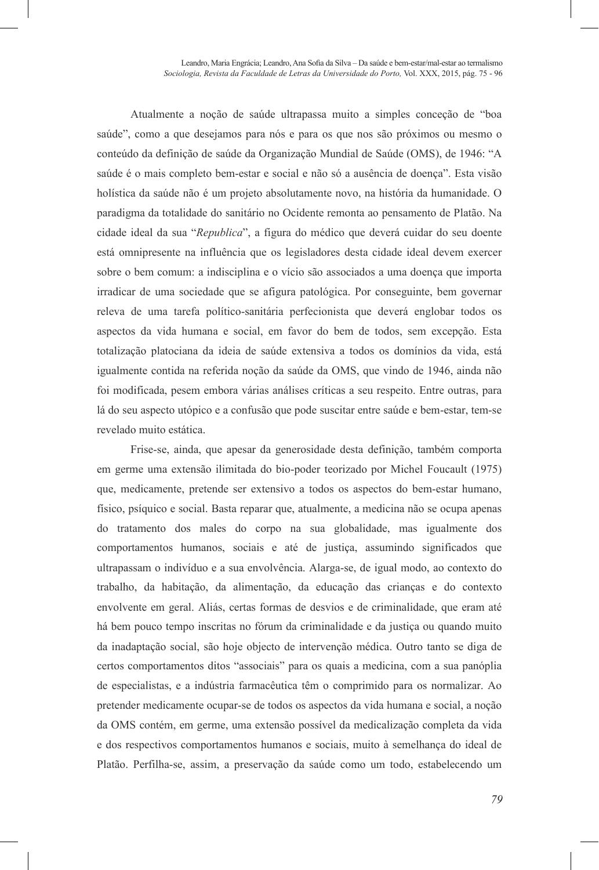Atualmente a noção de saúde ultrapassa muito a simples conceção de "boa saúde", como a que desejamos para nós e para os que nos são próximos ou mesmo o conteúdo da definição de saúde da Organização Mundial de Saúde (OMS), de 1946: "A saúde é o mais completo bem-estar e social e não só a ausência de doença". Esta visão holística da saúde não é um projeto absolutamente novo, na história da humanidade. O paradigma da totalidade do sanitário no Ocidente remonta ao pensamento de Platão. Na cidade ideal da sua "*Republica*", a figura do médico que deverá cuidar do seu doente está omnipresente na influência que os legisladores desta cidade ideal devem exercer sobre o bem comum: a indisciplina e o vício são associados a uma doença que importa irradicar de uma sociedade que se afigura patológica. Por conseguinte, bem governar releva de uma tarefa político-sanitária perfecionista que deverá englobar todos os aspectos da vida humana e social, em favor do bem de todos, sem excepção. Esta totalização platociana da ideia de saúde extensiva a todos os domínios da vida, está igualmente contida na referida noção da saúde da OMS, que vindo de 1946, ainda não foi modificada, pesem embora várias análises críticas a seu respeito. Entre outras, para lá do seu aspecto utópico e a confusão que pode suscitar entre saúde e bem-estar, tem-se revelado muito estática.

Frise-se, ainda, que apesar da generosidade desta definição, também comporta em germe uma extensão ilimitada do bio-poder teorizado por Michel Foucault (1975) que, medicamente, pretende ser extensivo a todos os aspectos do bem-estar humano, físico, psíquico e social. Basta reparar que, atualmente, a medicina não se ocupa apenas do tratamento dos males do corpo na sua globalidade, mas igualmente dos comportamentos humanos, sociais e até de justiça, assumindo significados que ultrapassam o indivíduo e a sua envolvência. Alarga-se, de igual modo, ao contexto do trabalho, da habitação, da alimentação, da educação das crianças e do contexto envolvente em geral. Aliás, certas formas de desvios e de criminalidade, que eram até há bem pouco tempo inscritas no fórum da criminalidade e da justiça ou quando muito da inadaptação social, são hoje objecto de intervenção médica. Outro tanto se diga de certos comportamentos ditos "associais" para os quais a medicina, com a sua panóplia de especialistas, e a indústria farmacêutica têm o comprimido para os normalizar. Ao pretender medicamente ocupar-se de todos os aspectos da vida humana e social, a noção da OMS contém, em germe, uma extensão possível da medicalização completa da vida e dos respectivos comportamentos humanos e sociais, muito à semelhança do ideal de Platão. Perfilha-se, assim, a preservação da saúde como um todo, estabelecendo um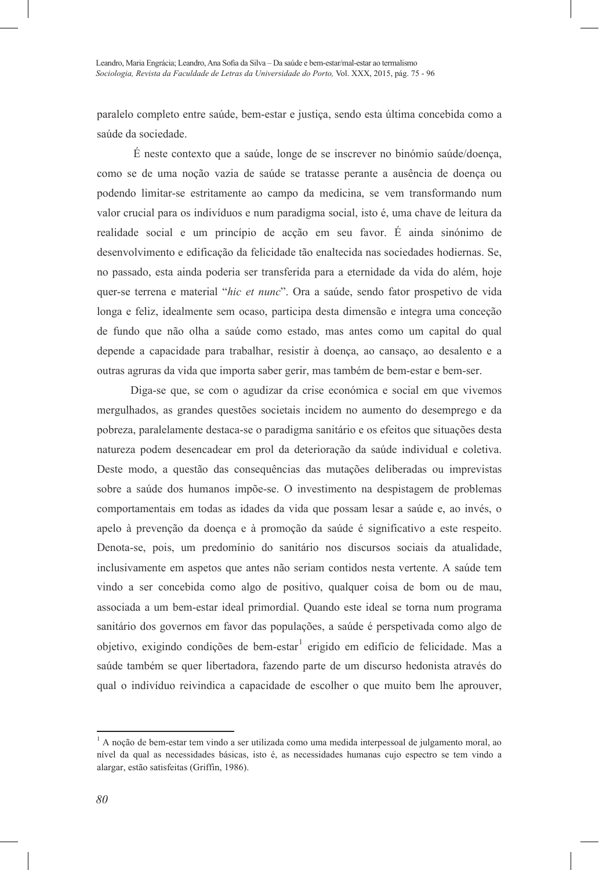paralelo completo entre saúde, bem-estar e justiça, sendo esta última concebida como a saúde da sociedade.

É neste contexto que a saúde, longe de se inscrever no binómio saúde/doença, como se de uma noção vazia de saúde se tratasse perante a ausência de doença ou podendo limitar-se estritamente ao campo da medicina, se vem transformando num valor crucial para os indivíduos e num paradigma social, isto é, uma chave de leitura da realidade social e um princípio de acção em seu favor. É ainda sinónimo de desenvolvimento e edificação da felicidade tão enaltecida nas sociedades hodiernas. Se, no passado, esta ainda poderia ser transferida para a eternidade da vida do além, hoje quer-se terrena e material "*hic et nunc*". Ora a saúde, sendo fator prospetivo de vida longa e feliz, idealmente sem ocaso, participa desta dimensão e integra uma conceção de fundo que não olha a saúde como estado, mas antes como um capital do qual depende a capacidade para trabalhar, resistir à doença, ao cansaço, ao desalento e a outras agruras da vida que importa saber gerir, mas também de bem-estar e bem-ser.

Diga-se que, se com o agudizar da crise económica e social em que vivemos mergulhados, as grandes questões societais incidem no aumento do desemprego e da pobreza, paralelamente destaca-se o paradigma sanitário e os efeitos que situações desta natureza podem desencadear em prol da deterioração da saúde individual e coletiva. Deste modo, a questão das consequências das mutações deliberadas ou imprevistas sobre a saúde dos humanos impõe-se. O investimento na despistagem de problemas comportamentais em todas as idades da vida que possam lesar a saúde e, ao invés, o apelo à prevenção da doença e à promoção da saúde é significativo a este respeito. Denota-se, pois, um predomínio do sanitário nos discursos sociais da atualidade, inclusivamente em aspetos que antes não seriam contidos nesta vertente. A saúde tem vindo a ser concebida como algo de positivo, qualquer coisa de bom ou de mau, associada a um bem-estar ideal primordial. Quando este ideal se torna num programa sanitário dos governos em favor das populações, a saúde é perspetivada como algo de objetivo, exigindo condições de bem-estar<sup>1</sup> erigido em edifício de felicidade. Mas a saúde também se quer libertadora, fazendo parte de um discurso hedonista através do qual o indivíduo reivindica a capacidade de escolher o que muito bem lhe aprouver,

l

<sup>1</sup> A noção de bem-estar tem vindo a ser utilizada como uma medida interpessoal de julgamento moral, ao nível da qual as necessidades básicas, isto é, as necessidades humanas cujo espectro se tem vindo a alargar, estão satisfeitas (Griffin, 1986).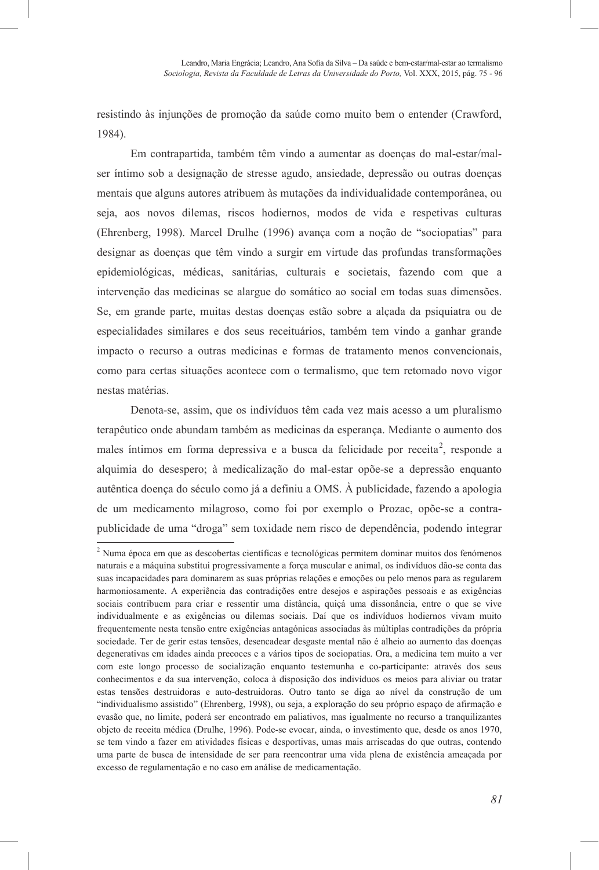resistindo às injunções de promoção da saúde como muito bem o entender (Crawford, 1984).

Em contrapartida, também têm vindo a aumentar as doenças do mal-estar/malser íntimo sob a designação de stresse agudo, ansiedade, depressão ou outras doenças mentais que alguns autores atribuem às mutações da individualidade contemporânea, ou seja, aos novos dilemas, riscos hodiernos, modos de vida e respetivas culturas (Ehrenberg, 1998). Marcel Drulhe (1996) avança com a noção de "sociopatias" para designar as doenças que têm vindo a surgir em virtude das profundas transformações epidemiológicas, médicas, sanitárias, culturais e societais, fazendo com que a intervenção das medicinas se alargue do somático ao social em todas suas dimensões. Se, em grande parte, muitas destas doenças estão sobre a alçada da psiquiatra ou de especialidades similares e dos seus receituários, também tem vindo a ganhar grande impacto o recurso a outras medicinas e formas de tratamento menos convencionais, como para certas situações acontece com o termalismo, que tem retomado novo vigor nestas matérias.

Denota-se, assim, que os indivíduos têm cada vez mais acesso a um pluralismo terapêutico onde abundam também as medicinas da esperança. Mediante o aumento dos males íntimos em forma depressiva e a busca da felicidade por receita<sup>2</sup>, responde a alquimia do desespero; à medicalização do mal-estar opõe-se a depressão enquanto autêntica doença do século como já a definiu a OMS. À publicidade, fazendo a apologia de um medicamento milagroso, como foi por exemplo o Prozac, opõe-se a contrapublicidade de uma "droga" sem toxidade nem risco de dependência, podendo integrar

l <sup>2</sup> Numa época em que as descobertas científicas e tecnológicas permitem dominar muitos dos fenómenos naturais e a máquina substitui progressivamente a força muscular e animal, os indivíduos dão-se conta das suas incapacidades para dominarem as suas próprias relações e emoções ou pelo menos para as regularem harmoniosamente. A experiência das contradições entre desejos e aspirações pessoais e as exigências sociais contribuem para criar e ressentir uma distância, quiçá uma dissonância, entre o que se vive individualmente e as exigências ou dilemas sociais. Daí que os indivíduos hodiernos vivam muito frequentemente nesta tensão entre exigências antagónicas associadas às múltiplas contradições da própria sociedade. Ter de gerir estas tensões, desencadear desgaste mental não é alheio ao aumento das doenças degenerativas em idades ainda precoces e a vários tipos de sociopatias. Ora, a medicina tem muito a ver com este longo processo de socialização enquanto testemunha e co-participante: através dos seus conhecimentos e da sua intervenção, coloca à disposição dos indivíduos os meios para aliviar ou tratar estas tensões destruidoras e auto-destruidoras. Outro tanto se diga ao nível da construção de um "individualismo assistido" (Ehrenberg, 1998), ou seja, a exploração do seu próprio espaço de afirmação e evasão que, no limite, poderá ser encontrado em paliativos, mas igualmente no recurso a tranquilizantes objeto de receita médica (Drulhe, 1996). Pode-se evocar, ainda, o investimento que, desde os anos 1970, se tem vindo a fazer em atividades físicas e desportivas, umas mais arriscadas do que outras, contendo uma parte de busca de intensidade de ser para reencontrar uma vida plena de existência ameaçada por excesso de regulamentação e no caso em análise de medicamentação.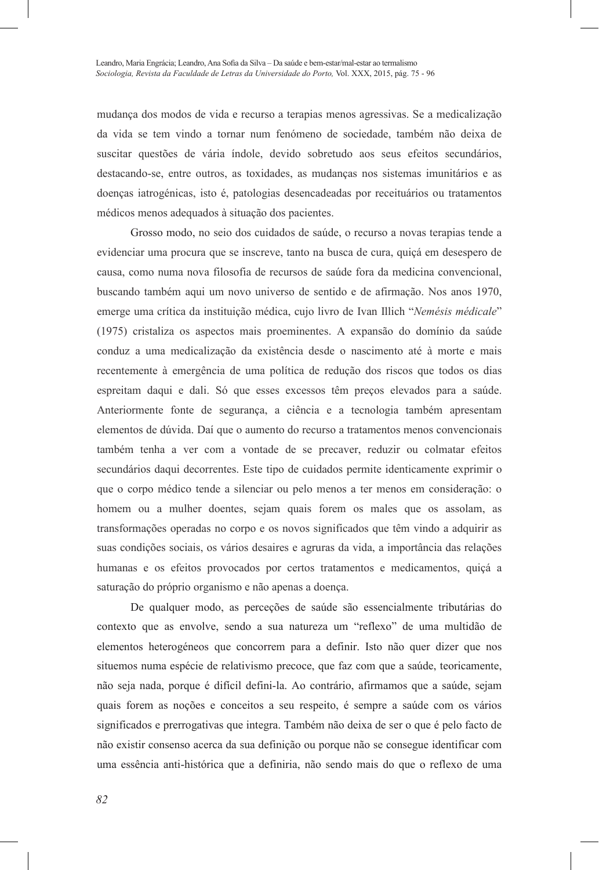mudança dos modos de vida e recurso a terapias menos agressivas. Se a medicalização da vida se tem vindo a tornar num fenómeno de sociedade, também não deixa de suscitar questões de vária índole, devido sobretudo aos seus efeitos secundários, destacando-se, entre outros, as toxidades, as mudanças nos sistemas imunitários e as doenças iatrogénicas, isto é, patologias desencadeadas por receituários ou tratamentos médicos menos adequados à situação dos pacientes.

Grosso modo, no seio dos cuidados de saúde, o recurso a novas terapias tende a evidenciar uma procura que se inscreve, tanto na busca de cura, quiçá em desespero de causa, como numa nova filosofia de recursos de saúde fora da medicina convencional, buscando também aqui um novo universo de sentido e de afirmação. Nos anos 1970, emerge uma crítica da instituição médica, cujo livro de Ivan Illich "*Nemésis médicale*" (1975) cristaliza os aspectos mais proeminentes. A expansão do domínio da saúde conduz a uma medicalização da existência desde o nascimento até à morte e mais recentemente à emergência de uma política de redução dos riscos que todos os dias espreitam daqui e dali. Só que esses excessos têm preços elevados para a saúde. Anteriormente fonte de segurança, a ciência e a tecnologia também apresentam elementos de dúvida. Daí que o aumento do recurso a tratamentos menos convencionais também tenha a ver com a vontade de se precaver, reduzir ou colmatar efeitos secundários daqui decorrentes. Este tipo de cuidados permite identicamente exprimir o que o corpo médico tende a silenciar ou pelo menos a ter menos em consideração: o homem ou a mulher doentes, sejam quais forem os males que os assolam, as transformações operadas no corpo e os novos significados que têm vindo a adquirir as suas condições sociais, os vários desaires e agruras da vida, a importância das relações humanas e os efeitos provocados por certos tratamentos e medicamentos, quiçá a saturação do próprio organismo e não apenas a doença.

De qualquer modo, as perceções de saúde são essencialmente tributárias do contexto que as envolve, sendo a sua natureza um "reflexo" de uma multidão de elementos heterogéneos que concorrem para a definir. Isto não quer dizer que nos situemos numa espécie de relativismo precoce, que faz com que a saúde, teoricamente, não seja nada, porque é difícil defini-la. Ao contrário, afirmamos que a saúde, sejam quais forem as noções e conceitos a seu respeito, é sempre a saúde com os vários significados e prerrogativas que integra. Também não deixa de ser o que é pelo facto de não existir consenso acerca da sua definição ou porque não se consegue identificar com uma essência anti-histórica que a definiria, não sendo mais do que o reflexo de uma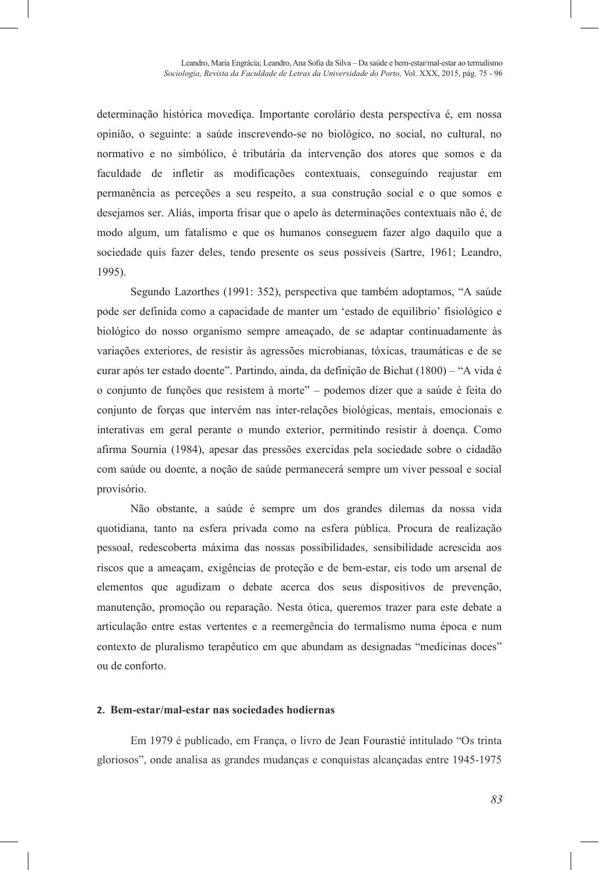determinação histórica movediça. Importante corolário desta perspectiva é, em nossa opinião, o seguinte: a saúde inscrevendo-se no biológico, no social, no cultural, no normativo e no simbólico, é tributária da intervenção dos atores que somos e da faculdade de infletir as modificações contextuais, conseguindo reajustar em permanência as perceções a seu respeito, a sua construção social e o que somos e desejamos ser. Aliás, importa frisar que o apelo às determinações contextuais não é, de modo algum, um fatalismo e que os humanos conseguem fazer algo daquilo que a sociedade quis fazer deles, tendo presente os seus possíveis (Sartre, 1961; Leandro, 1995).

Segundo Lazorthes (1991: 352), perspectiva que também adoptamos, "A saúde pode ser definida como a capacidade de manter um 'estado de equilíbrio' fisiológico e biológico do nosso organismo sempre ameaçado, de se adaptar continuadamente às variações exteriores, de resistir às agressões microbianas, tóxicas, traumáticas e de se curar após ter estado doente". Partindo, ainda, da definição de Bichat (1800) – "A vida é o conjunto de funções que resistem à morte" – podemos dizer que a saúde é feita do conjunto de forças que intervém nas inter-relações biológicas, mentais, emocionais e interativas em geral perante o mundo exterior, permitindo resistir à doença. Como afirma Sournia (1984), apesar das pressões exercidas pela sociedade sobre o cidadão com saúde ou doente, a noção de saúde permanecerá sempre um viver pessoal e social provisório.

Não obstante, a saúde é sempre um dos grandes dilemas da nossa vida quotidiana, tanto na esfera privada como na esfera pública. Procura de realização pessoal, redescoberta máxima das nossas possibilidades, sensibilidade acrescida aos riscos que a ameaçam, exigências de proteção e de bem-estar, eis todo um arsenal de elementos que agudizam o debate acerca dos seus dispositivos de prevenção, manutenção, promoção ou reparação. Nesta ótica, queremos trazer para este debate a articulação entre estas vertentes e a reemergência do termalismo numa época e num contexto de pluralismo terapêutico em que abundam as designadas "medicinas doces" ou de conforto.

### **2. Bem-estar/mal-estar nas sociedades hodiernas**

Em 1979 é publicado, em França, o livro de Jean Fourastié intitulado "Os trinta gloriosos", onde analisa as grandes mudanças e conquistas alcançadas entre 1945-1975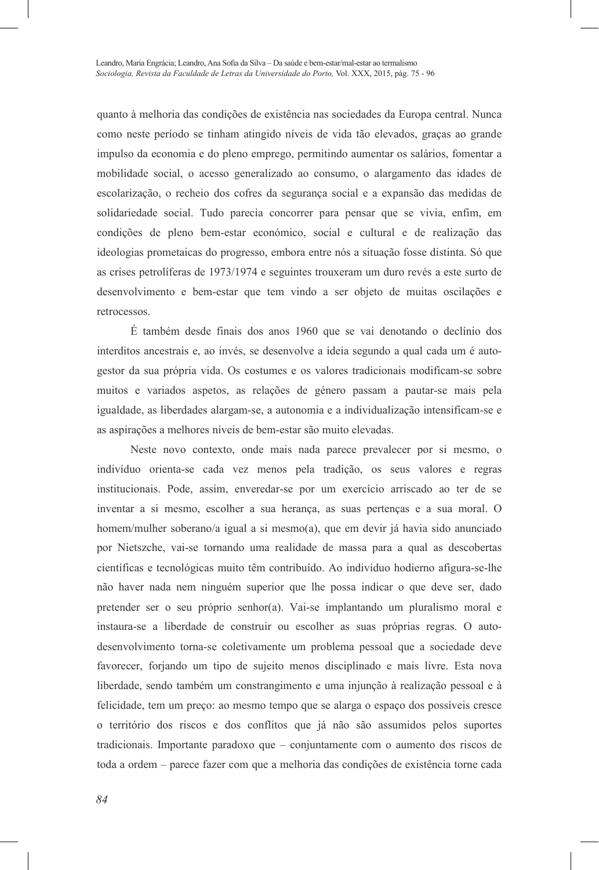quanto à melhoria das condições de existência nas sociedades da Europa central. Nunca como neste período se tinham atingido níveis de vida tão elevados, graças ao grande impulso da economia e do pleno emprego, permitindo aumentar os salários, fomentar a mobilidade social, o acesso generalizado ao consumo, o alargamento das idades de escolarização, o recheio dos cofres da segurança social e a expansão das medidas de solidariedade social. Tudo parecia concorrer para pensar que se vivia, enfim, em condições de pleno bem-estar económico, social e cultural e de realização das ideologias prometaicas do progresso, embora entre nós a situação fosse distinta. Só que as crises petrolíferas de 1973/1974 e seguintes trouxeram um duro revés a este surto de desenvolvimento e bem-estar que tem vindo a ser objeto de muitas oscilações e retrocessos.

É também desde finais dos anos 1960 que se vai denotando o declínio dos interditos ancestrais e, ao invés, se desenvolve a ideia segundo a qual cada um é autogestor da sua própria vida. Os costumes e os valores tradicionais modificam-se sobre muitos e variados aspetos, as relações de género passam a pautar-se mais pela igualdade, as liberdades alargam-se, a autonomia e a individualização intensificam-se e as aspirações a melhores níveis de bem-estar são muito elevadas.

Neste novo contexto, onde mais nada parece prevalecer por si mesmo, o indivíduo orienta-se cada vez menos pela tradição, os seus valores e regras institucionais. Pode, assim, enveredar-se por um exercício arriscado ao ter de se inventar a si mesmo, escolher a sua herança, as suas pertenças e a sua moral. O homem/mulher soberano/a igual a si mesmo(a), que em devir já havia sido anunciado por Nietszche, vai-se tornando uma realidade de massa para a qual as descobertas científicas e tecnológicas muito têm contribuído. Ao indivíduo hodierno afigura-se-lhe não haver nada nem ninguém superior que lhe possa indicar o que deve ser, dado pretender ser o seu próprio senhor(a). Vai-se implantando um pluralismo moral e instaura-se a liberdade de construir ou escolher as suas próprias regras. O autodesenvolvimento torna-se coletivamente um problema pessoal que a sociedade deve favorecer, forjando um tipo de sujeito menos disciplinado e mais livre. Esta nova liberdade, sendo também um constrangimento e uma injunção à realização pessoal e à felicidade, tem um preço: ao mesmo tempo que se alarga o espaço dos possíveis cresce o território dos riscos e dos conflitos que já não são assumidos pelos suportes tradicionais. Importante paradoxo que – conjuntamente com o aumento dos riscos de toda a ordem – parece fazer com que a melhoria das condições de existência torne cada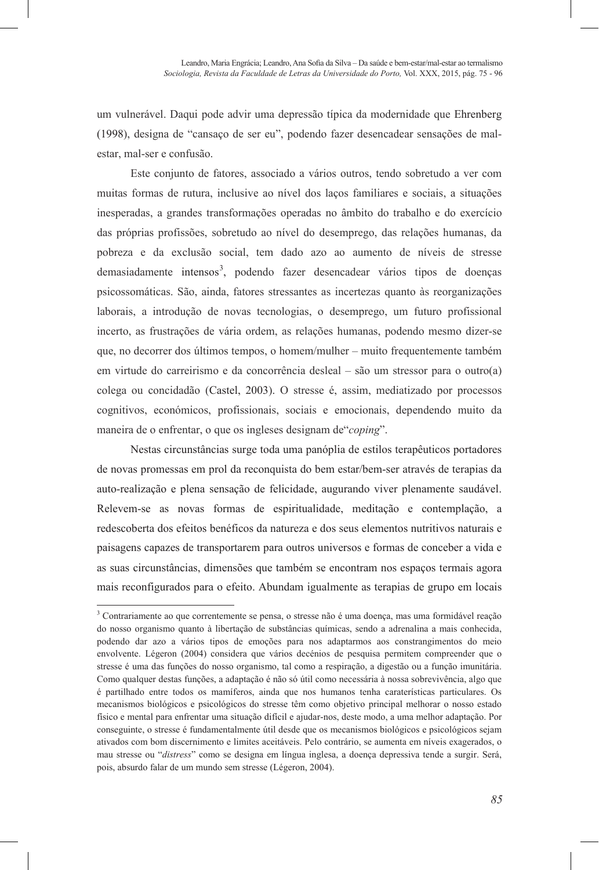um vulnerável. Daqui pode advir uma depressão típica da modernidade que Ehrenberg (1998), designa de "cansaço de ser eu", podendo fazer desencadear sensações de malestar, mal-ser e confusão.

Este conjunto de fatores, associado a vários outros, tendo sobretudo a ver com muitas formas de rutura, inclusive ao nível dos laços familiares e sociais, a situações inesperadas, a grandes transformações operadas no âmbito do trabalho e do exercício das próprias profissões, sobretudo ao nível do desemprego, das relações humanas, da pobreza e da exclusão social, tem dado azo ao aumento de níveis de stresse demasiadamente intensos<sup>3</sup>, podendo fazer desencadear vários tipos de doenças psicossomáticas. São, ainda, fatores stressantes as incertezas quanto às reorganizações laborais, a introdução de novas tecnologias, o desemprego, um futuro profissional incerto, as frustrações de vária ordem, as relações humanas, podendo mesmo dizer-se que, no decorrer dos últimos tempos, o homem/mulher – muito frequentemente também em virtude do carreirismo e da concorrência desleal – são um stressor para o outro(a) colega ou concidadão (Castel, 2003). O stresse é, assim, mediatizado por processos cognitivos, económicos, profissionais, sociais e emocionais, dependendo muito da maneira de o enfrentar, o que os ingleses designam de"*coping*".

Nestas circunstâncias surge toda uma panóplia de estilos terapêuticos portadores de novas promessas em prol da reconquista do bem estar/bem-ser através de terapias da auto-realização e plena sensação de felicidade, augurando viver plenamente saudável. Relevem-se as novas formas de espiritualidade, meditação e contemplação, a redescoberta dos efeitos benéficos da natureza e dos seus elementos nutritivos naturais e paisagens capazes de transportarem para outros universos e formas de conceber a vida e as suas circunstâncias, dimensões que também se encontram nos espaços termais agora mais reconfigurados para o efeito. Abundam igualmente as terapias de grupo em locais

1

<sup>3</sup> Contrariamente ao que correntemente se pensa, o stresse não é uma doença, mas uma formidável reação do nosso organismo quanto à libertação de substâncias químicas, sendo a adrenalina a mais conhecida, podendo dar azo a vários tipos de emoções para nos adaptarmos aos constrangimentos do meio envolvente. Légeron (2004) considera que vários decénios de pesquisa permitem compreender que o stresse é uma das funções do nosso organismo, tal como a respiração, a digestão ou a função imunitária. Como qualquer destas funções, a adaptação é não só útil como necessária à nossa sobrevivência, algo que é partilhado entre todos os mamíferos, ainda que nos humanos tenha caraterísticas particulares. Os mecanismos biológicos e psicológicos do stresse têm como objetivo principal melhorar o nosso estado físico e mental para enfrentar uma situação difícil e ajudar-nos, deste modo, a uma melhor adaptação. Por conseguinte, o stresse é fundamentalmente útil desde que os mecanismos biológicos e psicológicos sejam ativados com bom discernimento e limites aceitáveis. Pelo contrário, se aumenta em níveis exagerados, o mau stresse ou "*distress*" como se designa em língua inglesa, a doença depressiva tende a surgir. Será, pois, absurdo falar de um mundo sem stresse (Légeron, 2004).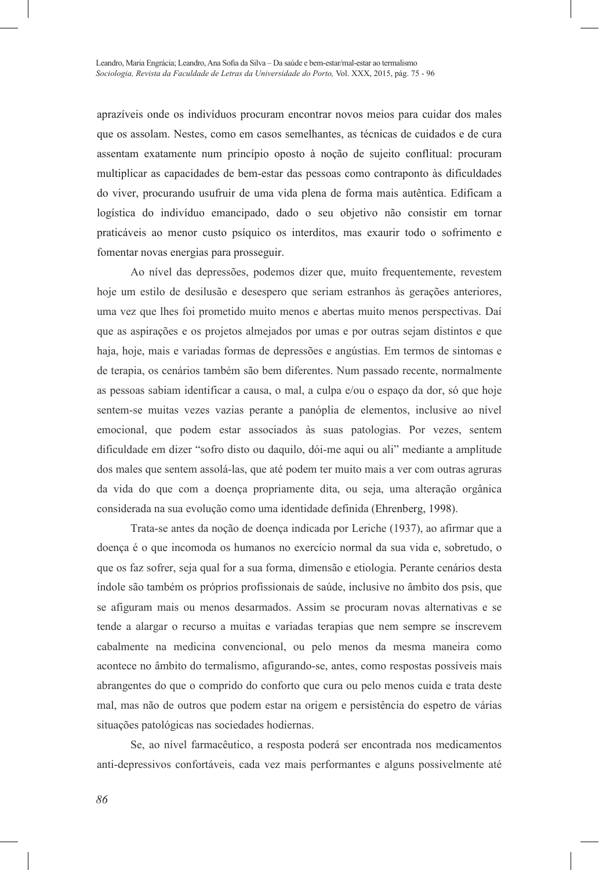aprazíveis onde os indivíduos procuram encontrar novos meios para cuidar dos males que os assolam. Nestes, como em casos semelhantes, as técnicas de cuidados e de cura assentam exatamente num princípio oposto à noção de sujeito conflitual: procuram multiplicar as capacidades de bem-estar das pessoas como contraponto às dificuldades do viver, procurando usufruir de uma vida plena de forma mais autêntica. Edificam a logística do indivíduo emancipado, dado o seu objetivo não consistir em tornar praticáveis ao menor custo psíquico os interditos, mas exaurir todo o sofrimento e fomentar novas energias para prosseguir.

Ao nível das depressões, podemos dizer que, muito frequentemente, revestem hoje um estilo de desilusão e desespero que seriam estranhos às gerações anteriores, uma vez que lhes foi prometido muito menos e abertas muito menos perspectivas. Daí que as aspirações e os projetos almejados por umas e por outras sejam distintos e que haja, hoje, mais e variadas formas de depressões e angústias. Em termos de sintomas e de terapia, os cenários também são bem diferentes. Num passado recente, normalmente as pessoas sabiam identificar a causa, o mal, a culpa e/ou o espaço da dor, só que hoje sentem-se muitas vezes vazias perante a panóplia de elementos, inclusive ao nível emocional, que podem estar associados às suas patologias. Por vezes, sentem dificuldade em dizer "sofro disto ou daquilo, dói-me aqui ou ali" mediante a amplitude dos males que sentem assolá-las, que até podem ter muito mais a ver com outras agruras da vida do que com a doença propriamente dita, ou seja, uma alteração orgânica considerada na sua evolução como uma identidade definida (Ehrenberg, 1998).

Trata-se antes da noção de doença indicada por Leriche (1937), ao afirmar que a doença é o que incomoda os humanos no exercício normal da sua vida e, sobretudo, o que os faz sofrer, seja qual for a sua forma, dimensão e etiologia. Perante cenários desta índole são também os próprios profissionais de saúde, inclusive no âmbito dos psis, que se afiguram mais ou menos desarmados. Assim se procuram novas alternativas e se tende a alargar o recurso a muitas e variadas terapias que nem sempre se inscrevem cabalmente na medicina convencional, ou pelo menos da mesma maneira como acontece no âmbito do termalismo, afigurando-se, antes, como respostas possíveis mais abrangentes do que o comprido do conforto que cura ou pelo menos cuida e trata deste mal, mas não de outros que podem estar na origem e persistência do espetro de várias situações patológicas nas sociedades hodiernas.

Se, ao nível farmacêutico, a resposta poderá ser encontrada nos medicamentos anti-depressivos confortáveis, cada vez mais performantes e alguns possivelmente até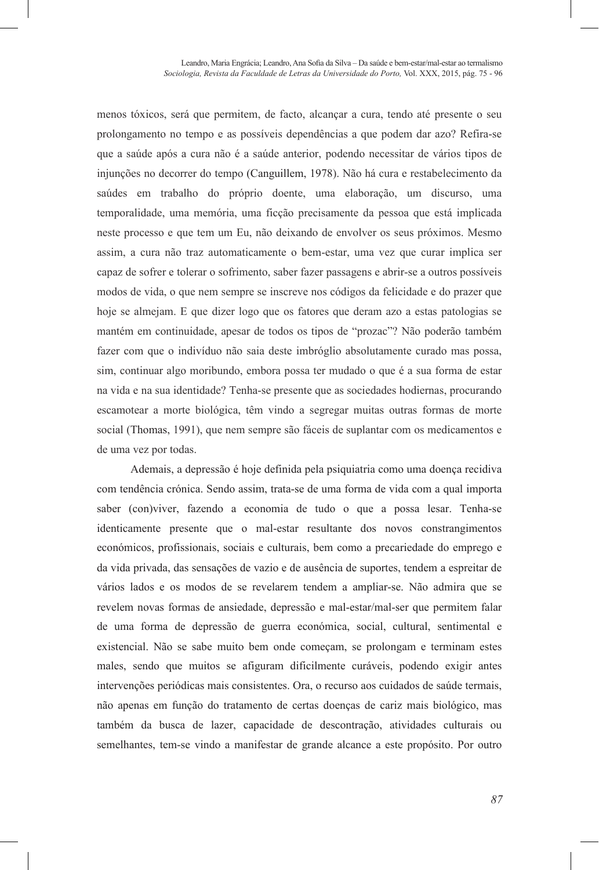menos tóxicos, será que permitem, de facto, alcançar a cura, tendo até presente o seu prolongamento no tempo e as possíveis dependências a que podem dar azo? Refira-se que a saúde após a cura não é a saúde anterior, podendo necessitar de vários tipos de injunções no decorrer do tempo (Canguillem, 1978). Não há cura e restabelecimento da saúdes em trabalho do próprio doente, uma elaboração, um discurso, uma temporalidade, uma memória, uma ficção precisamente da pessoa que está implicada neste processo e que tem um Eu, não deixando de envolver os seus próximos. Mesmo assim, a cura não traz automaticamente o bem-estar, uma vez que curar implica ser capaz de sofrer e tolerar o sofrimento, saber fazer passagens e abrir-se a outros possíveis modos de vida, o que nem sempre se inscreve nos códigos da felicidade e do prazer que hoje se almejam. E que dizer logo que os fatores que deram azo a estas patologias se mantém em continuidade, apesar de todos os tipos de "prozac"? Não poderão também fazer com que o indivíduo não saia deste imbróglio absolutamente curado mas possa, sim, continuar algo moribundo, embora possa ter mudado o que é a sua forma de estar na vida e na sua identidade? Tenha-se presente que as sociedades hodiernas, procurando escamotear a morte biológica, têm vindo a segregar muitas outras formas de morte social (Thomas, 1991), que nem sempre são fáceis de suplantar com os medicamentos e de uma vez por todas.

Ademais, a depressão é hoje definida pela psiquiatria como uma doença recidiva com tendência crónica. Sendo assim, trata-se de uma forma de vida com a qual importa saber (con)viver, fazendo a economia de tudo o que a possa lesar. Tenha-se identicamente presente que o mal-estar resultante dos novos constrangimentos económicos, profissionais, sociais e culturais, bem como a precariedade do emprego e da vida privada, das sensações de vazio e de ausência de suportes, tendem a espreitar de vários lados e os modos de se revelarem tendem a ampliar-se. Não admira que se revelem novas formas de ansiedade, depressão e mal-estar/mal-ser que permitem falar de uma forma de depressão de guerra económica, social, cultural, sentimental e existencial. Não se sabe muito bem onde começam, se prolongam e terminam estes males, sendo que muitos se afiguram dificilmente curáveis, podendo exigir antes intervenções periódicas mais consistentes. Ora, o recurso aos cuidados de saúde termais, não apenas em função do tratamento de certas doenças de cariz mais biológico, mas também da busca de lazer, capacidade de descontração, atividades culturais ou semelhantes, tem-se vindo a manifestar de grande alcance a este propósito. Por outro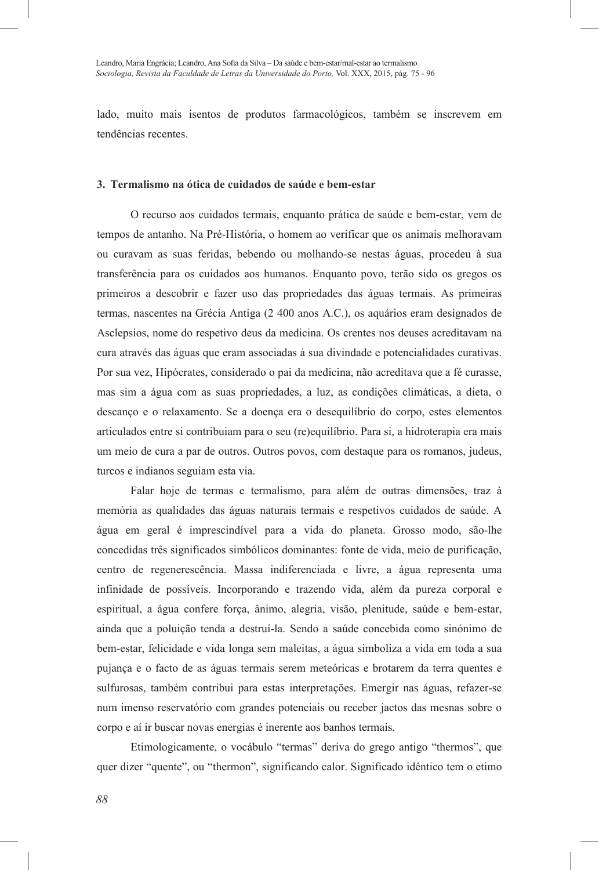lado, muito mais isentos de produtos farmacológicos, também se inscrevem em tendências recentes.

### **3. Termalismo na ótica de cuidados de saúde e bem-estar**

O recurso aos cuidados termais, enquanto prática de saúde e bem-estar, vem de tempos de antanho. Na Pré-História, o homem ao verificar que os animais melhoravam ou curavam as suas feridas, bebendo ou molhando-se nestas águas, procedeu à sua transferência para os cuidados aos humanos. Enquanto povo, terão sido os gregos os primeiros a descobrir e fazer uso das propriedades das águas termais. As primeiras termas, nascentes na Grécia Antiga (2 400 anos A.C.), os aquários eram designados de Asclepsios, nome do respetivo deus da medicina. Os crentes nos deuses acreditavam na cura através das águas que eram associadas à sua divindade e potencialidades curativas. Por sua vez, Hipócrates, considerado o pai da medicina, não acreditava que a fé curasse, mas sim a água com as suas propriedades, a luz, as condições climáticas, a dieta, o descanço e o relaxamento. Se a doença era o desequilíbrio do corpo, estes elementos articulados entre si contribuiam para o seu (re)equilíbrio. Para si, a hidroterapia era mais um meio de cura a par de outros. Outros povos, com destaque para os romanos, judeus, turcos e indianos seguiam esta via.

Falar hoje de termas e termalismo, para além de outras dimensões, traz à memória as qualidades das águas naturais termais e respetivos cuidados de saúde. A água em geral é imprescindível para a vida do planeta. Grosso modo, são-lhe concedidas três significados simbólicos dominantes: fonte de vida, meio de purificação, centro de regenerescência. Massa indiferenciada e livre, a água representa uma infinidade de possíveis. Incorporando e trazendo vida, além da pureza corporal e espiritual, a água confere força, ânimo, alegria, visão, plenitude, saúde e bem-estar, ainda que a poluição tenda a destruí-la. Sendo a saúde concebida como sinónimo de bem-estar, felicidade e vida longa sem maleitas, a água simboliza a vida em toda a sua pujança e o facto de as águas termais serem meteóricas e brotarem da terra quentes e sulfurosas, também contribui para estas interpretações. Emergir nas águas, refazer-se num imenso reservatório com grandes potenciais ou receber jactos das mesnas sobre o corpo e aí ir buscar novas energias é inerente aos banhos termais.

Etimologicamente, o vocábulo "termas" deriva do grego antigo "thermos", que quer dizer "quente", ou "thermon", significando calor. Significado idêntico tem o etimo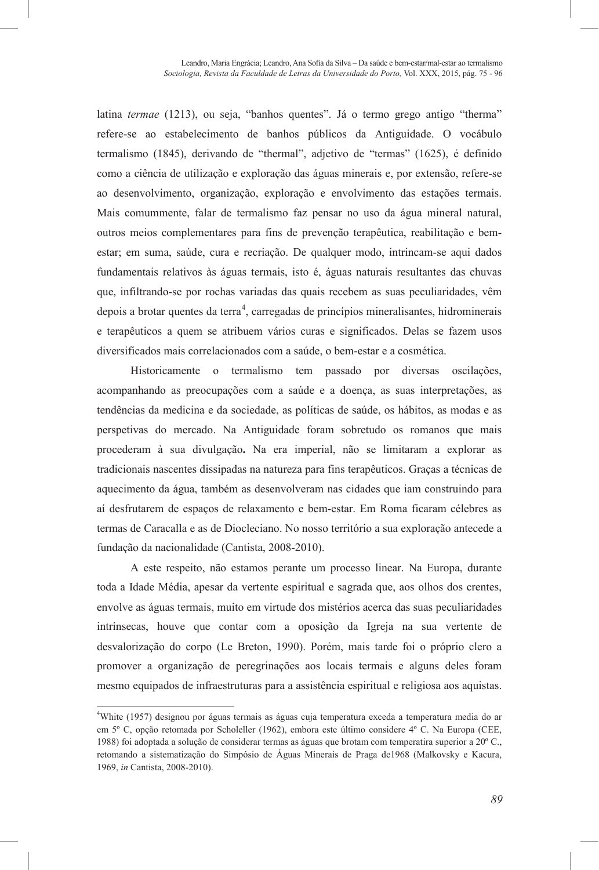latina *termae* (1213), ou seja, "banhos quentes". Já o termo grego antigo "therma" refere-se ao estabelecimento de banhos públicos da Antiguidade. O vocábulo termalismo (1845), derivando de "thermal", adjetivo de "termas" (1625), é definido como a ciência de utilização e exploração das águas minerais e, por extensão, refere-se ao desenvolvimento, organização, exploração e envolvimento das estações termais. Mais comummente, falar de termalismo faz pensar no uso da água mineral natural, outros meios complementares para fins de prevenção terapêutica, reabilitação e bemestar; em suma, saúde, cura e recriação. De qualquer modo, intrincam-se aqui dados fundamentais relativos às águas termais, isto é, águas naturais resultantes das chuvas que, infiltrando-se por rochas variadas das quais recebem as suas peculiaridades, vêm depois a brotar quentes da terra<sup>4</sup>, carregadas de princípios mineralisantes, hidrominerais e terapêuticos a quem se atribuem vários curas e significados. Delas se fazem usos diversificados mais correlacionados com a saúde, o bem-estar e a cosmética.

Historicamente o termalismo tem passado por diversas oscilações, acompanhando as preocupações com a saúde e a doença, as suas interpretações, as tendências da medicina e da sociedade, as políticas de saúde, os hábitos, as modas e as perspetivas do mercado. Na Antiguidade foram sobretudo os romanos que mais procederam à sua divulgação**.** Na era imperial, não se limitaram a explorar as tradicionais nascentes dissipadas na natureza para fins terapêuticos. Graças a técnicas de aquecimento da água, também as desenvolveram nas cidades que iam construindo para aí desfrutarem de espaços de relaxamento e bem-estar. Em Roma ficaram célebres as termas de Caracalla e as de Diocleciano. No nosso território a sua exploração antecede a fundação da nacionalidade (Cantista, 2008-2010).

A este respeito, não estamos perante um processo linear. Na Europa, durante toda a Idade Média, apesar da vertente espiritual e sagrada que, aos olhos dos crentes, envolve as águas termais, muito em virtude dos mistérios acerca das suas peculiaridades intrínsecas, houve que contar com a oposição da Igreja na sua vertente de desvalorização do corpo (Le Breton, 1990). Porém, mais tarde foi o próprio clero a promover a organização de peregrinações aos locais termais e alguns deles foram mesmo equipados de infraestruturas para a assistência espiritual e religiosa aos aquistas.

l

<sup>4</sup> White (1957) designou por águas termais as águas cuja temperatura exceda a temperatura media do ar em 5º C, opção retomada por Scholeller (1962), embora este último considere 4º C. Na Europa (CEE, 1988) foi adoptada a solução de considerar termas as águas que brotam com temperatira superior a 20º C., retomando a sistematização do Simpósio de Águas Minerais de Praga de1968 (Malkovsky e Kacura, 1969, *in* Cantista, 2008-2010).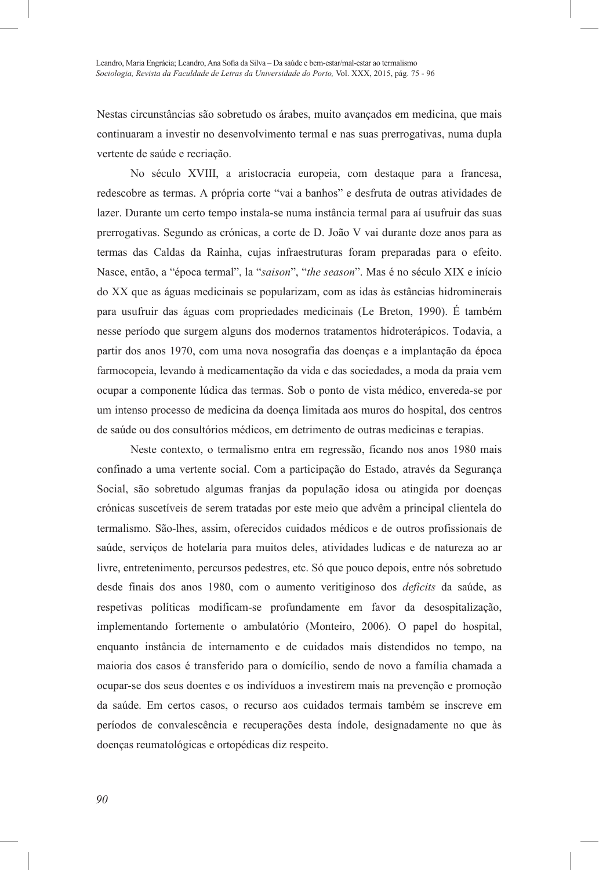Nestas circunstâncias são sobretudo os árabes, muito avançados em medicina, que mais continuaram a investir no desenvolvimento termal e nas suas prerrogativas, numa dupla vertente de saúde e recriação.

No século XVIII, a aristocracia europeia, com destaque para a francesa, redescobre as termas. A própria corte "vai a banhos" e desfruta de outras atividades de lazer. Durante um certo tempo instala-se numa instância termal para aí usufruir das suas prerrogativas. Segundo as crónicas, a corte de D. João V vai durante doze anos para as termas das Caldas da Rainha, cujas infraestruturas foram preparadas para o efeito. Nasce, então, a "época termal", la "*saison*", "*the season*". Mas é no século XIX e início do XX que as águas medicinais se popularizam, com as idas às estâncias hidrominerais para usufruir das águas com propriedades medicinais (Le Breton, 1990). É também nesse período que surgem alguns dos modernos tratamentos hidroterápicos. Todavia, a partir dos anos 1970, com uma nova nosografia das doenças e a implantação da época farmocopeia, levando à medicamentação da vida e das sociedades, a moda da praia vem ocupar a componente lúdica das termas. Sob o ponto de vista médico, envereda-se por um intenso processo de medicina da doença limitada aos muros do hospital, dos centros de saúde ou dos consultórios médicos, em detrimento de outras medicinas e terapias.

Neste contexto, o termalismo entra em regressão, ficando nos anos 1980 mais confinado a uma vertente social. Com a participação do Estado, através da Segurança Social, são sobretudo algumas franjas da população idosa ou atingida por doenças crónicas suscetíveis de serem tratadas por este meio que advêm a principal clientela do termalismo. São-lhes, assim, oferecidos cuidados médicos e de outros profissionais de saúde, serviços de hotelaria para muitos deles, atividades ludicas e de natureza ao ar livre, entretenimento, percursos pedestres, etc. Só que pouco depois, entre nós sobretudo desde finais dos anos 1980, com o aumento veritiginoso dos *deficits* da saúde, as respetivas políticas modificam-se profundamente em favor da desospitalização, implementando fortemente o ambulatório (Monteiro, 2006). O papel do hospital, enquanto instância de internamento e de cuidados mais distendidos no tempo, na maioria dos casos é transferido para o domícílio, sendo de novo a família chamada a ocupar-se dos seus doentes e os indivíduos a investirem mais na prevenção e promoção da saúde. Em certos casos, o recurso aos cuidados termais também se inscreve em períodos de convalescência e recuperações desta índole, designadamente no que às doenças reumatológicas e ortopédicas diz respeito.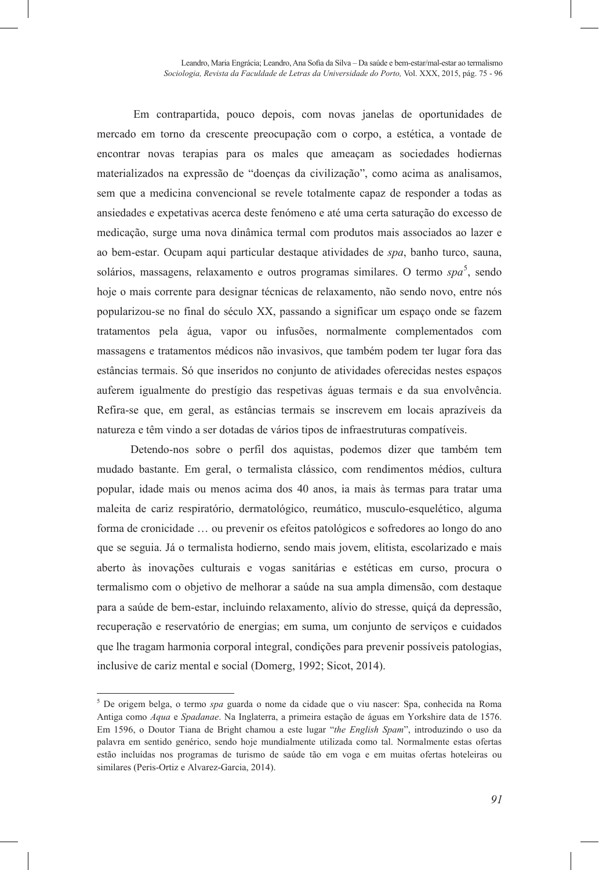Em contrapartida, pouco depois, com novas janelas de oportunidades de mercado em torno da crescente preocupação com o corpo, a estética, a vontade de encontrar novas terapias para os males que ameaçam as sociedades hodiernas materializados na expressão de "doenças da civilização", como acima as analisamos, sem que a medicina convencional se revele totalmente capaz de responder a todas as ansiedades e expetativas acerca deste fenómeno e até uma certa saturação do excesso de medicação, surge uma nova dinâmica termal com produtos mais associados ao lazer e ao bem-estar. Ocupam aqui particular destaque atividades de *spa*, banho turco, sauna, solários, massagens, relaxamento e outros programas similares. O termo *spa*<sup>5</sup>, sendo hoje o mais corrente para designar técnicas de relaxamento, não sendo novo, entre nós popularizou-se no final do século XX, passando a significar um espaço onde se fazem tratamentos pela água, vapor ou infusões, normalmente complementados com massagens e tratamentos médicos não invasivos, que também podem ter lugar fora das estâncias termais. Só que inseridos no conjunto de atividades oferecidas nestes espaços auferem igualmente do prestígio das respetivas águas termais e da sua envolvência. Refira-se que, em geral, as estâncias termais se inscrevem em locais aprazíveis da natureza e têm vindo a ser dotadas de vários tipos de infraestruturas compatíveis.

Detendo-nos sobre o perfil dos aquistas, podemos dizer que também tem mudado bastante. Em geral, o termalista clássico, com rendimentos médios, cultura popular, idade mais ou menos acima dos 40 anos, ia mais às termas para tratar uma maleita de cariz respiratório, dermatológico, reumático, musculo-esquelético, alguma forma de cronicidade … ou prevenir os efeitos patológicos e sofredores ao longo do ano que se seguia. Já o termalista hodierno, sendo mais jovem, elitista, escolarizado e mais aberto às inovações culturais e vogas sanitárias e estéticas em curso, procura o termalismo com o objetivo de melhorar a saúde na sua ampla dimensão, com destaque para a saúde de bem-estar, incluindo relaxamento, alívio do stresse, quiçá da depressão, recuperação e reservatório de energias; em suma, um conjunto de serviços e cuidados que lhe tragam harmonia corporal integral, condições para prevenir possíveis patologias, inclusive de cariz mental e social (Domerg, 1992; Sicot, 2014).

l

<sup>5</sup> De origem belga, o termo *spa* guarda o nome da cidade que o viu nascer: Spa, conhecida na Roma Antiga como *Aqua* e *Spadanae*. Na Inglaterra, a primeira estação de águas em Yorkshire data de 1576. Em 1596, o Doutor Tiana de Bright chamou a este lugar "*the English Spam*", introduzindo o uso da palavra em sentido genérico, sendo hoje mundialmente utilizada como tal. Normalmente estas ofertas estão incluídas nos programas de turismo de saúde tão em voga e em muitas ofertas hoteleiras ou similares (Peris-Ortiz e Alvarez-Garcia, 2014).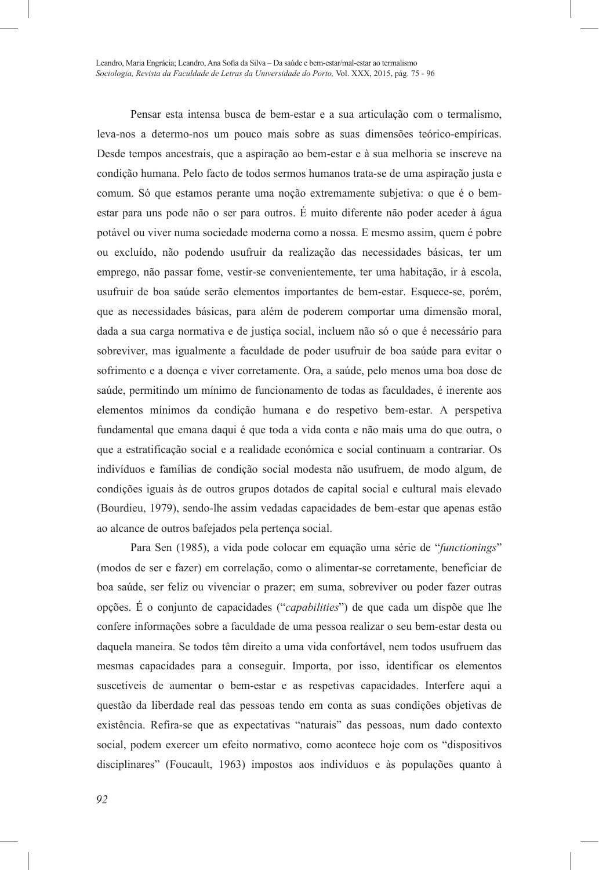Pensar esta intensa busca de bem-estar e a sua articulação com o termalismo, leva-nos a determo-nos um pouco mais sobre as suas dimensões teórico-empíricas. Desde tempos ancestrais, que a aspiração ao bem-estar e à sua melhoria se inscreve na condição humana. Pelo facto de todos sermos humanos trata-se de uma aspiração justa e comum. Só que estamos perante uma noção extremamente subjetiva: o que é o bemestar para uns pode não o ser para outros. É muito diferente não poder aceder à água potável ou viver numa sociedade moderna como a nossa. E mesmo assim, quem é pobre ou excluído, não podendo usufruir da realização das necessidades básicas, ter um emprego, não passar fome, vestir-se convenientemente, ter uma habitação, ir à escola, usufruir de boa saúde serão elementos importantes de bem-estar. Esquece-se, porém, que as necessidades básicas, para além de poderem comportar uma dimensão moral, dada a sua carga normativa e de justiça social, incluem não só o que é necessário para sobreviver, mas igualmente a faculdade de poder usufruir de boa saúde para evitar o sofrimento e a doença e viver corretamente. Ora, a saúde, pelo menos uma boa dose de saúde, permitindo um mínimo de funcionamento de todas as faculdades, é inerente aos elementos mínimos da condição humana e do respetivo bem-estar. A perspetiva fundamental que emana daqui é que toda a vida conta e não mais uma do que outra, o que a estratificação social e a realidade económica e social continuam a contrariar. Os indivíduos e famílias de condição social modesta não usufruem, de modo algum, de condições iguais às de outros grupos dotados de capital social e cultural mais elevado (Bourdieu, 1979), sendo-lhe assim vedadas capacidades de bem-estar que apenas estão ao alcance de outros bafejados pela pertença social.

Para Sen (1985), a vida pode colocar em equação uma série de "*functionings*" (modos de ser e fazer) em correlação, como o alimentar-se corretamente, beneficiar de boa saúde, ser feliz ou vivenciar o prazer; em suma, sobreviver ou poder fazer outras opções. É o conjunto de capacidades ("*capabilities*") de que cada um dispõe que lhe confere informações sobre a faculdade de uma pessoa realizar o seu bem-estar desta ou daquela maneira. Se todos têm direito a uma vida confortável, nem todos usufruem das mesmas capacidades para a conseguir. Importa, por isso, identificar os elementos suscetíveis de aumentar o bem-estar e as respetivas capacidades. Interfere aqui a questão da liberdade real das pessoas tendo em conta as suas condições objetivas de existência. Refira-se que as expectativas "naturais" das pessoas, num dado contexto social, podem exercer um efeito normativo, como acontece hoje com os "dispositivos disciplinares" (Foucault, 1963) impostos aos indivíduos e às populações quanto à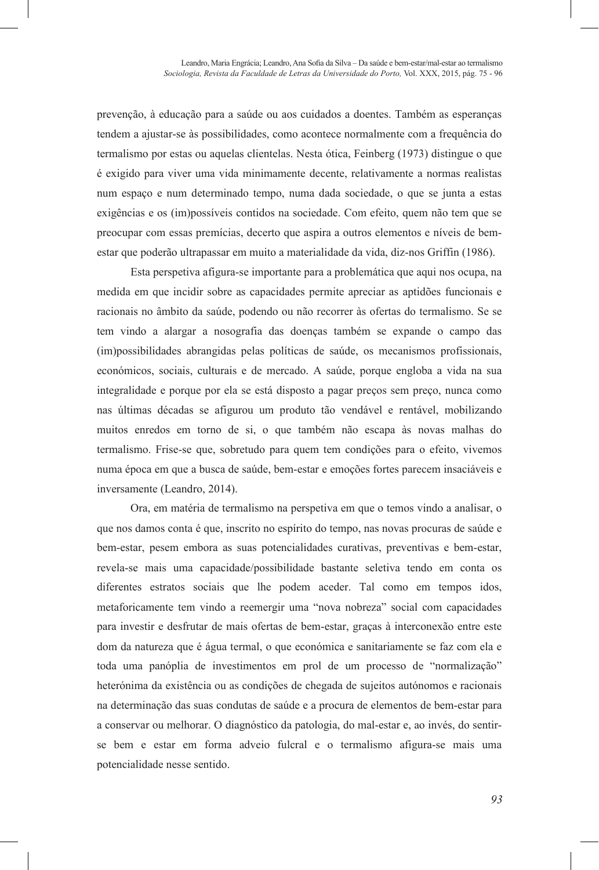prevenção, à educação para a saúde ou aos cuidados a doentes. Também as esperanças tendem a ajustar-se às possibilidades, como acontece normalmente com a frequência do termalismo por estas ou aquelas clientelas. Nesta ótica, Feinberg (1973) distingue o que é exigido para viver uma vida minimamente decente, relativamente a normas realistas num espaço e num determinado tempo, numa dada sociedade, o que se junta a estas exigências e os (im)possíveis contidos na sociedade. Com efeito, quem não tem que se preocupar com essas premícias, decerto que aspira a outros elementos e níveis de bemestar que poderão ultrapassar em muito a materialidade da vida, diz-nos Griffin (1986).

Esta perspetiva afigura-se importante para a problemática que aqui nos ocupa, na medida em que incidir sobre as capacidades permite apreciar as aptidões funcionais e racionais no âmbito da saúde, podendo ou não recorrer às ofertas do termalismo. Se se tem vindo a alargar a nosografia das doenças também se expande o campo das (im)possibilidades abrangidas pelas políticas de saúde, os mecanismos profissionais, económicos, sociais, culturais e de mercado. A saúde, porque engloba a vida na sua integralidade e porque por ela se está disposto a pagar preços sem preço, nunca como nas últimas décadas se afigurou um produto tão vendável e rentável, mobilizando muitos enredos em torno de si, o que também não escapa às novas malhas do termalismo. Frise-se que, sobretudo para quem tem condições para o efeito, vivemos numa época em que a busca de saúde, bem-estar e emoções fortes parecem insaciáveis e inversamente (Leandro, 2014).

Ora, em matéria de termalismo na perspetiva em que o temos vindo a analisar, o que nos damos conta é que, inscrito no espírito do tempo, nas novas procuras de saúde e bem-estar, pesem embora as suas potencialidades curativas, preventivas e bem-estar, revela-se mais uma capacidade/possibilidade bastante seletiva tendo em conta os diferentes estratos sociais que lhe podem aceder. Tal como em tempos idos, metaforicamente tem vindo a reemergir uma "nova nobreza" social com capacidades para investir e desfrutar de mais ofertas de bem-estar, graças à interconexão entre este dom da natureza que é água termal, o que económica e sanitariamente se faz com ela e toda uma panóplia de investimentos em prol de um processo de "normalização" heterónima da existência ou as condições de chegada de sujeitos autónomos e racionais na determinação das suas condutas de saúde e a procura de elementos de bem-estar para a conservar ou melhorar. O diagnóstico da patologia, do mal-estar e, ao invés, do sentirse bem e estar em forma adveio fulcral e o termalismo afigura-se mais uma potencialidade nesse sentido.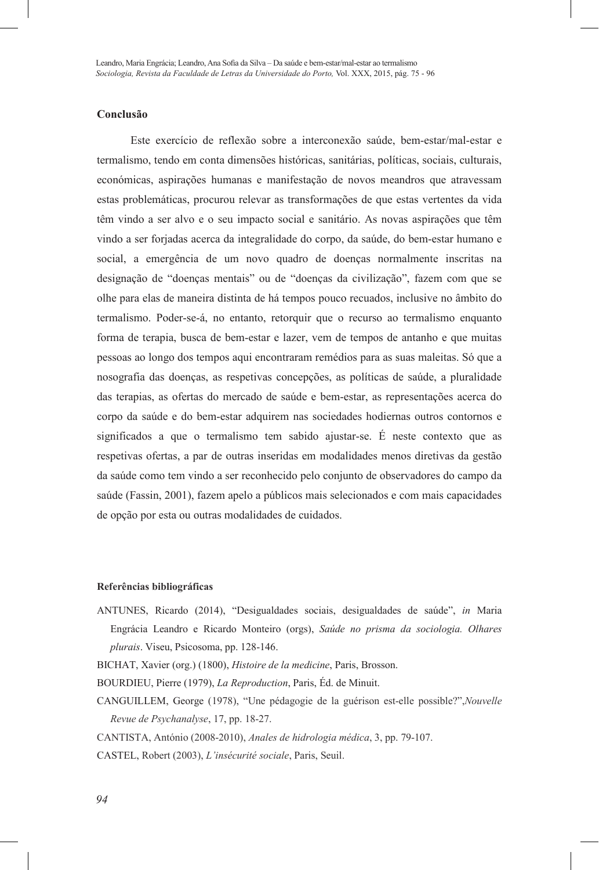# **Conclusão**

Este exercício de reflexão sobre a interconexão saúde, bem-estar/mal-estar e termalismo, tendo em conta dimensões históricas, sanitárias, políticas, sociais, culturais, económicas, aspirações humanas e manifestação de novos meandros que atravessam estas problemáticas, procurou relevar as transformações de que estas vertentes da vida têm vindo a ser alvo e o seu impacto social e sanitário. As novas aspirações que têm vindo a ser forjadas acerca da integralidade do corpo, da saúde, do bem-estar humano e social, a emergência de um novo quadro de doenças normalmente inscritas na designação de "doenças mentais" ou de "doenças da civilização", fazem com que se olhe para elas de maneira distinta de há tempos pouco recuados, inclusive no âmbito do termalismo. Poder-se-á, no entanto, retorquir que o recurso ao termalismo enquanto forma de terapia, busca de bem-estar e lazer, vem de tempos de antanho e que muitas pessoas ao longo dos tempos aqui encontraram remédios para as suas maleitas. Só que a nosografia das doenças, as respetivas concepções, as políticas de saúde, a pluralidade das terapias, as ofertas do mercado de saúde e bem-estar, as representações acerca do corpo da saúde e do bem-estar adquirem nas sociedades hodiernas outros contornos e significados a que o termalismo tem sabido ajustar-se. É neste contexto que as respetivas ofertas, a par de outras inseridas em modalidades menos diretivas da gestão da saúde como tem vindo a ser reconhecido pelo conjunto de observadores do campo da saúde (Fassin, 2001), fazem apelo a públicos mais selecionados e com mais capacidades de opção por esta ou outras modalidades de cuidados.

#### **Referências bibliográficas**

- ANTUNES, Ricardo (2014), "Desigualdades sociais, desigualdades de saúde", *in* Maria Engrácia Leandro e Ricardo Monteiro (orgs), *Saúde no prisma da sociologia. Olhares plurais*. Viseu, Psicosoma, pp. 128-146.
- BICHAT, Xavier (org.) (1800), *Histoire de la medicine*, Paris, Brosson.
- BOURDIEU, Pierre (1979), *La Reproduction*, Paris, Éd. de Minuit.
- CANGUILLEM, George (1978), "Une pédagogie de la guérison est-elle possible?",*Nouvelle Revue de Psychanalyse*, 17, pp. 18-27.

CANTISTA, António (2008-2010), *Anales de hidrologia médica*, 3, pp. 79-107.

CASTEL, Robert (2003), *L'insécurité sociale*, Paris, Seuil.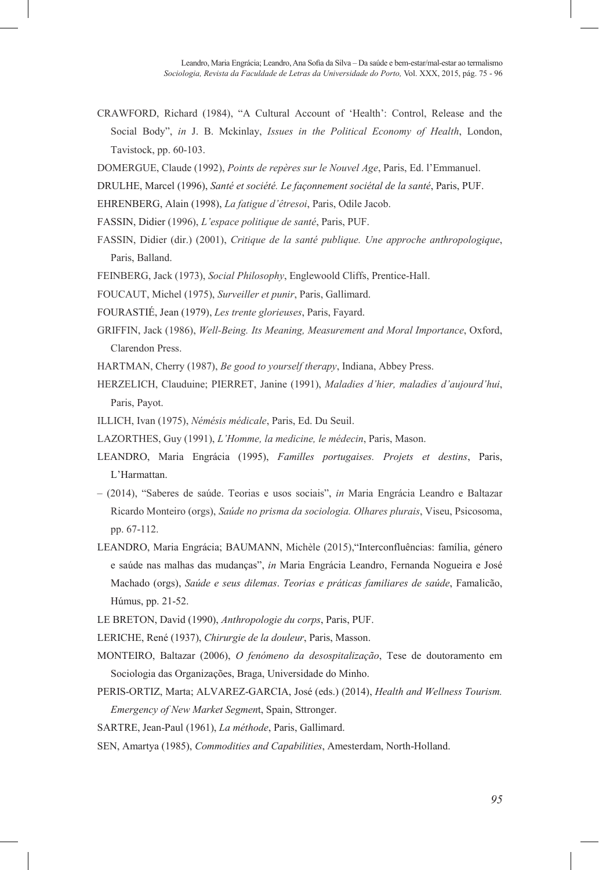- CRAWFORD, Richard (1984), "A Cultural Account of 'Health': Control, Release and the Social Body", *in* J. B. Mckinlay, *Issues in the Political Economy of Health*, London, Tavistock, pp. 60-103.
- DOMERGUE, Claude (1992), *Points de repères sur le Nouvel Age*, Paris, Ed. l'Emmanuel.
- DRULHE, Marcel (1996), *Santé et société. Le façonnement sociétal de la santé*, Paris, PUF.
- EHRENBERG, Alain (1998), *La fatigue d'êtresoi*, Paris, Odile Jacob.
- FASSIN, Didier (1996), *L'espace politique de santé*, Paris, PUF.
- FASSIN, Didier (dir.) (2001), *Critique de la santé publique. Une approche anthropologique*, Paris, Balland.
- FEINBERG, Jack (1973), *Social Philosophy*, Englewoold Cliffs, Prentice-Hall.
- FOUCAUT, Michel (1975), *Surveiller et punir*, Paris, Gallimard.
- FOURASTIÉ, Jean (1979), *Les trente glorieuses*, Paris, Fayard.
- GRIFFIN, Jack (1986), *Well-Being. Its Meaning, Measurement and Moral Importance*, Oxford, Clarendon Press.
- HARTMAN, Cherry (1987), *Be good to yourself therapy*, Indiana, Abbey Press.
- HERZELICH, Clauduine; PIERRET, Janine (1991), *Maladies d'hier, maladies d'aujourd'hui*, Paris, Payot.
- ILLICH, Ivan (1975), *Némésis médicale*, Paris, Ed. Du Seuil.
- LAZORTHES, Guy (1991), *L'Homme, la medicine, le médecin*, Paris, Mason.
- LEANDRO, Maria Engrácia (1995), *Familles portugaises. Projets et destins*, Paris, L'Harmattan.
- (2014), "Saberes de saúde. Teorias e usos sociais", *in* Maria Engrácia Leandro e Baltazar Ricardo Monteiro (orgs), *Saúde no prisma da sociologia. Olhares plurais*, Viseu, Psicosoma, pp. 67-112.
- LEANDRO, Maria Engrácia; BAUMANN, Michèle (2015),"Interconfluências: família, género e saúde nas malhas das mudanças", *in* Maria Engrácia Leandro, Fernanda Nogueira e José Machado (orgs), *Saúde e seus dilemas*. *Teorias e práticas familiares de saúde*, Famalicão, Húmus, pp. 21-52.
- LE BRETON, David (1990), *Anthropologie du corps*, Paris, PUF.
- LERICHE, René (1937), *Chirurgie de la douleur*, Paris, Masson.
- MONTEIRO, Baltazar (2006), *O fenómeno da desospitalização*, Tese de doutoramento em Sociologia das Organizações, Braga, Universidade do Minho.
- PERIS-ORTIZ, Marta; ALVAREZ-GARCIA, José (eds.) (2014), *Health and Wellness Tourism. Emergency of New Market Segmen*t, Spain, Sttronger.
- SARTRE, Jean-Paul (1961), *La méthode*, Paris, Gallimard.
- SEN, Amartya (1985), *Commodities and Capabilities*, Amesterdam, North-Holland.